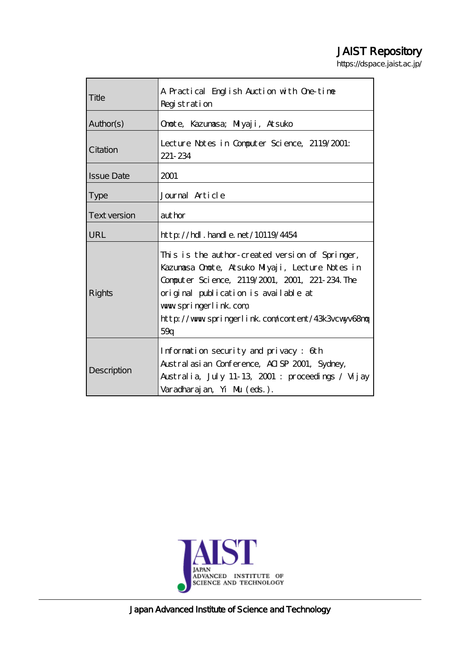# JAIST Repository

https://dspace.jaist.ac.jp/

| Title               | A Practical English Auction with One-time<br>Registration                                                                                                                                                                                                                         |  |  |  |  |  |
|---------------------|-----------------------------------------------------------------------------------------------------------------------------------------------------------------------------------------------------------------------------------------------------------------------------------|--|--|--|--|--|
| Author(s)           | Onote, Kazunasa; Mlyaji, Atsuko                                                                                                                                                                                                                                                   |  |  |  |  |  |
| Citation            | Lecture Notes in Computer Science, 2119/2001:<br>221-234                                                                                                                                                                                                                          |  |  |  |  |  |
| <b>Issue Date</b>   | 2001                                                                                                                                                                                                                                                                              |  |  |  |  |  |
| <b>Type</b>         | Journal Article                                                                                                                                                                                                                                                                   |  |  |  |  |  |
| <b>Text version</b> | aut hor                                                                                                                                                                                                                                                                           |  |  |  |  |  |
| URL                 | $http$ // $rdl$ . handle. net/10119/4454                                                                                                                                                                                                                                          |  |  |  |  |  |
| <b>Rights</b>       | This is the author-created version of Springer,<br>Kazumasa Omote, Atsuko Miyaji, Lecture Notes in<br>Computer Science, 2119/2001, 2001, 221-234. The<br>original publication is available at<br>www.springerlink.com<br>http://www.springerlink.com/content/43k3vcwyv68nq<br>59q |  |  |  |  |  |
| Description         | Information security and privacy: 6th<br>Austral asian Conference, AISP 2001, Sydney,<br>Australia, July 11-13, 2001 : proceedings / Vujay<br>Varadharajan, Yi Mu (eds.).                                                                                                         |  |  |  |  |  |



Japan Advanced Institute of Science and Technology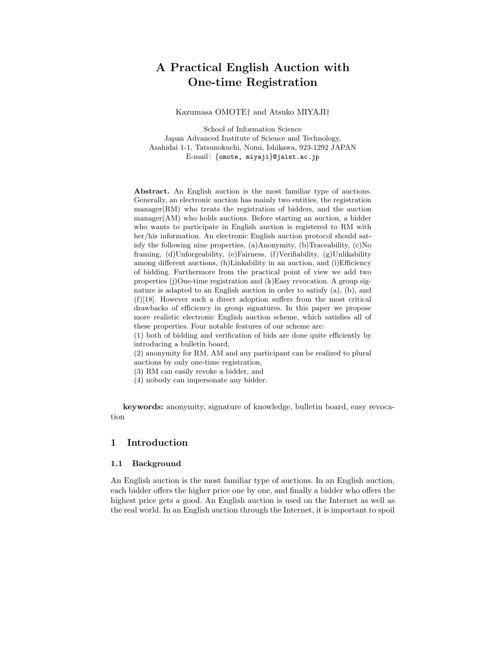# **A Practical English Auction with One-time Registration**

#### Kazumasa OMOTE† and Atsuko MIYAJI†

School of Information Science Japan Advanced Institute of Science and Technology, Asahidai 1-1, Tatsunokuchi, Nomi, Ishikawa, 923-1292 JAPAN E-mail : *{*omote, miyaji*}*@jaist.ac.jp

**Abstract.** An English auction is the most familiar type of auctions. Generally, an electronic auction has mainly two entities, the registration manager(RM) who treats the registration of bidders, and the auction manager(AM) who holds auctions. Before starting an auction, a bidder who wants to participate in English auction is registered to RM with her/his information. An electronic English auction protocol should satisfy the following nine properties, (a)Anonymity, (b)Traceability, (c)No framing, (d)Unforgeability, (e)Fairness, (f)Verifiability, (g)Unlikability among different auctions, (h)Linkability in an auction, and (i)Efficiency of bidding. Furthermore from the practical point of view we add two properties (j)One-time registration and (k)Easy revocation. A group signature is adapted to an English auction in order to satisfy (a), (b), and  $(f)[18]$ . However such a direct adoption suffers from the most critical drawbacks of efficiency in group signatures. In this paper we propose more realistic electronic English auction scheme, which satisfies all of these properties. Four notable features of our scheme are:

(1) both of bidding and verification of bids are done quite efficiently by introducing a bulletin board,

(2) anonymity for RM, AM and any participant can be realized to plural auctions by only one-time registration,

(3) RM can easily revoke a bidder, and

(4) nobody can impersonate any bidder.

**keywords:** anonymity, signature of knowledge, bulletin board, easy revocation

# **1 Introduction**

#### **1.1 Background**

An English auction is the most familiar type of auctions. In an English auction, each bidder offers the higher price one by one, and finally a bidder who offers the highest price gets a good. An English auction is used on the Internet as well as the real world. In an English auction through the Internet, it is important to spoil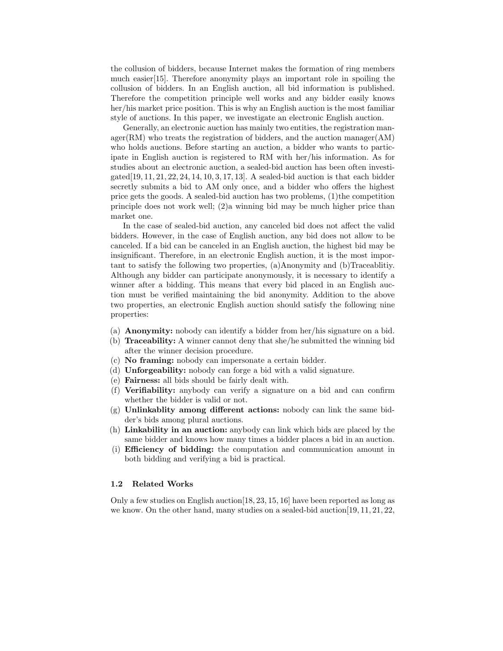the collusion of bidders, because Internet makes the formation of ring members much easier[15]. Therefore anonymity plays an important role in spoiling the collusion of bidders. In an English auction, all bid information is published. Therefore the competition principle well works and any bidder easily knows her/his market price position. This is why an English auction is the most familiar style of auctions. In this paper, we investigate an electronic English auction.

Generally, an electronic auction has mainly two entities, the registration man $a<sub>g</sub>$  ager(RM) who treats the registration of bidders, and the auction manager(AM) who holds auctions. Before starting an auction, a bidder who wants to participate in English auction is registered to RM with her/his information. As for studies about an electronic auction, a sealed-bid auction has been often investigated[19, 11, 21, 22, 24, 14, 10, 3, 17, 13]. A sealed-bid auction is that each bidder secretly submits a bid to AM only once, and a bidder who offers the highest price gets the goods. A sealed-bid auction has two problems,  $(1)$ the competition principle does not work well; (2)a winning bid may be much higher price than market one.

In the case of sealed-bid auction, any canceled bid does not affect the valid bidders. However, in the case of English auction, any bid does not allow to be canceled. If a bid can be canceled in an English auction, the highest bid may be insignificant. Therefore, in an electronic English auction, it is the most important to satisfy the following two properties, (a)Anonymity and (b)Traceablitiy. Although any bidder can participate anonymously, it is necessary to identify a winner after a bidding. This means that every bid placed in an English auction must be verified maintaining the bid anonymity. Addition to the above two properties, an electronic English auction should satisfy the following nine properties:

- (a) **Anonymity:** nobody can identify a bidder from her/his signature on a bid.
- (b) **Traceability:** A winner cannot deny that she/he submitted the winning bid after the winner decision procedure.
- (c) **No framing:** nobody can impersonate a certain bidder.
- (d) **Unforgeability:** nobody can forge a bid with a valid signature.
- (e) **Fairness:** all bids should be fairly dealt with.
- (f) **Verifiability:** anybody can verify a signature on a bid and can confirm whether the bidder is valid or not.
- (g) **Unlinkablity among different actions:** nobody can link the same bidder's bids among plural auctions.
- (h) **Linkability in an auction:** anybody can link which bids are placed by the same bidder and knows how many times a bidder places a bid in an auction.
- (i) **Efficiency of bidding:** the computation and communication amount in both bidding and verifying a bid is practical.

#### **1.2 Related Works**

Only a few studies on English auction[18, 23, 15, 16] have been reported as long as we know. On the other hand, many studies on a sealed-bid auction [19, 11, 21, 22,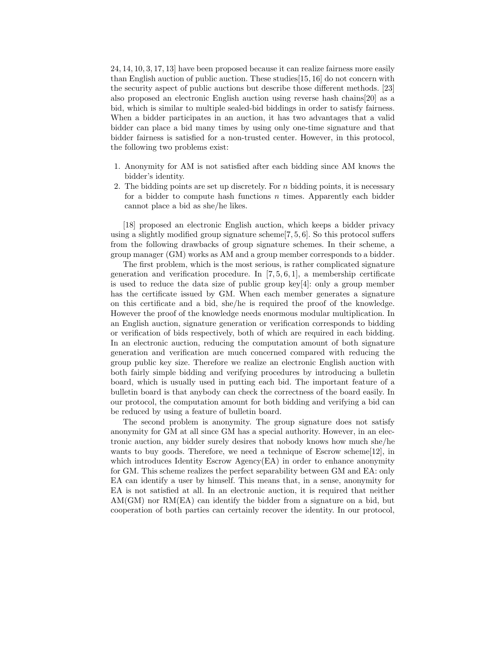24, 14, 10, 3, 17, 13] have been proposed because it can realize fairness more easily than English auction of public auction. These studies[15, 16] do not concern with the security aspect of public auctions but describe those different methods. [23] also proposed an electronic English auction using reverse hash chains[20] as a bid, which is similar to multiple sealed-bid biddings in order to satisfy fairness. When a bidder participates in an auction, it has two advantages that a valid bidder can place a bid many times by using only one-time signature and that bidder fairness is satisfied for a non-trusted center. However, in this protocol, the following two problems exist:

- 1. Anonymity for AM is not satisfied after each bidding since AM knows the bidder's identity.
- 2. The bidding points are set up discretely. For  $n$  bidding points, it is necessary for a bidder to compute hash functions  $n$  times. Apparently each bidder cannot place a bid as she/he likes.

[18] proposed an electronic English auction, which keeps a bidder privacy using a slightly modified group signature scheme[7, 5, 6]. So this protocol suffers from the following drawbacks of group signature schemes. In their scheme, a group manager (GM) works as AM and a group member corresponds to a bidder.

The first problem, which is the most serious, is rather complicated signature generation and verification procedure. In  $[7, 5, 6, 1]$ , a membership certificate is used to reduce the data size of public group key[4]: only a group member has the certificate issued by GM. When each member generates a signature on this certificate and a bid, she/he is required the proof of the knowledge. However the proof of the knowledge needs enormous modular multiplication. In an English auction, signature generation or verification corresponds to bidding or verification of bids respectively, both of which are required in each bidding. In an electronic auction, reducing the computation amount of both signature generation and verification are much concerned compared with reducing the group public key size. Therefore we realize an electronic English auction with both fairly simple bidding and verifying procedures by introducing a bulletin board, which is usually used in putting each bid. The important feature of a bulletin board is that anybody can check the correctness of the board easily. In our protocol, the computation amount for both bidding and verifying a bid can be reduced by using a feature of bulletin board.

The second problem is anonymity. The group signature does not satisfy anonymity for GM at all since GM has a special authority. However, in an electronic auction, any bidder surely desires that nobody knows how much she/he wants to buy goods. Therefore, we need a technique of Escrow scheme[12], in which introduces Identity Escrow Agency(EA) in order to enhance anonymity for GM. This scheme realizes the perfect separability between GM and EA: only EA can identify a user by himself. This means that, in a sense, anonymity for EA is not satisfied at all. In an electronic auction, it is required that neither AM(GM) nor RM(EA) can identify the bidder from a signature on a bid, but cooperation of both parties can certainly recover the identity. In our protocol,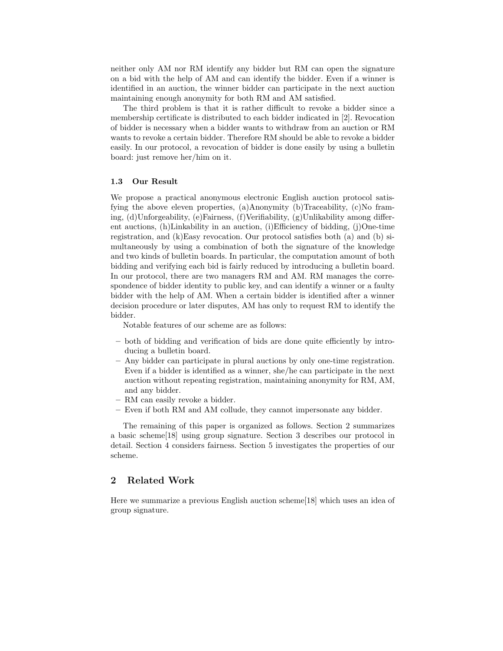neither only AM nor RM identify any bidder but RM can open the signature on a bid with the help of AM and can identify the bidder. Even if a winner is identified in an auction, the winner bidder can participate in the next auction maintaining enough anonymity for both RM and AM satisfied.

The third problem is that it is rather difficult to revoke a bidder since a membership certificate is distributed to each bidder indicated in [2]. Revocation of bidder is necessary when a bidder wants to withdraw from an auction or RM wants to revoke a certain bidder. Therefore RM should be able to revoke a bidder easily. In our protocol, a revocation of bidder is done easily by using a bulletin board: just remove her/him on it.

#### **1.3 Our Result**

We propose a practical anonymous electronic English auction protocol satisfying the above eleven properties,  $(a)$ Anonymity  $(b)$ Traceability,  $(c)$ No framing, (d)Unforgeability, (e)Fairness, (f)Verifiability, (g)Unlikability among different auctions, (h)Linkability in an auction, (i)Efficiency of bidding, (j)One-time registration, and  $(k)$ Easy revocation. Our protocol satisfies both  $(a)$  and  $(b)$  simultaneously by using a combination of both the signature of the knowledge and two kinds of bulletin boards. In particular, the computation amount of both bidding and verifying each bid is fairly reduced by introducing a bulletin board. In our protocol, there are two managers RM and AM. RM manages the correspondence of bidder identity to public key, and can identify a winner or a faulty bidder with the help of AM. When a certain bidder is identified after a winner decision procedure or later disputes, AM has only to request RM to identify the bidder.

Notable features of our scheme are as follows:

- **–** both of bidding and verification of bids are done quite efficiently by introducing a bulletin board.
- **–** Any bidder can participate in plural auctions by only one-time registration. Even if a bidder is identified as a winner, she/he can participate in the next auction without repeating registration, maintaining anonymity for RM, AM, and any bidder.
- **–** RM can easily revoke a bidder.
- **–** Even if both RM and AM collude, they cannot impersonate any bidder.

The remaining of this paper is organized as follows. Section 2 summarizes a basic scheme[18] using group signature. Section 3 describes our protocol in detail. Section 4 considers fairness. Section 5 investigates the properties of our scheme.

# **2 Related Work**

Here we summarize a previous English auction scheme[18] which uses an idea of group signature.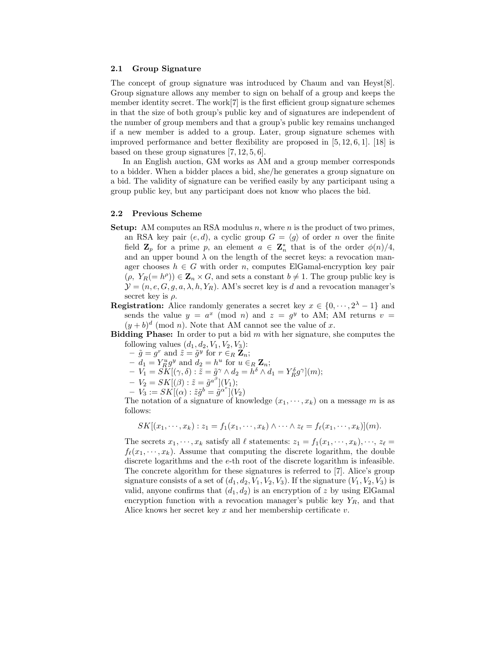#### **2.1 Group Signature**

The concept of group signature was introduced by Chaum and van Heyst[8]. Group signature allows any member to sign on behalf of a group and keeps the member identity secret. The work[7] is the first efficient group signature schemes in that the size of both group's public key and of signatures are independent of the number of group members and that a group's public key remains unchanged if a new member is added to a group. Later, group signature schemes with improved performance and better flexibility are proposed in [5, 12, 6, 1]. [18] is based on these group signatures [7, 12, 5, 6].

In an English auction, GM works as AM and a group member corresponds to a bidder. When a bidder places a bid, she/he generates a group signature on a bid. The validity of signature can be verified easily by any participant using a group public key, but any participant does not know who places the bid.

#### **2.2 Previous Scheme**

- **Setup:** AM computes an RSA modulus n, where n is the product of two primes, an RSA key pair  $(e, d)$ , a cyclic group  $G = \langle g \rangle$  of order n over the finite field  $\mathbf{Z}_p$  for a prime p, an element  $a \in \mathbf{Z}_n^*$  that is of the order  $\phi(n)/4$ , and an upper bound  $\lambda$  on the length of the secret keys: a revocation manager chooses  $h \in G$  with order n, computes ElGamal-encryption key pair  $(\rho, Y_R(= h^{\rho})) \in \mathbf{Z}_n \times G$ , and sets a constant  $b \neq 1$ . The group public key is  $\mathcal{Y} = (n, e, G, g, a, \lambda, h, Y_R)$ . AM's secret key is d and a revocation manager's secret key is  $\rho$ .
- **Registration:** Alice randomly generates a secret key  $x \in \{0, \dots, 2^{\lambda} 1\}$  and sends the value  $y = a^x \pmod{n}$  and  $z = g^y$  to AM; AM returns  $v =$  $(y + b)^d$  (mod n). Note that AM cannot see the value of x.

**Bidding Phase:** In order to put a bid m with her signature, she computes the following values  $(d_1, d_2, V_1, V_2, V_3)$ :

- $-\tilde{g} = g^r$  and  $\tilde{z} = \tilde{g}^y$  for  $r \in_R \mathbb{Z}_n$ ;
- $-\ddot{d}_1 = Y_R^u g^y$  and  $\ddot{d}_2 = h^u$  for  $u \in_R \mathbb{Z}_n$ ;
- $V_1 = S \overset{K}{K} [(\gamma, \delta) : \tilde{\tilde{z}} = \tilde{g}^\gamma \wedge d_2 = \overline{h}^\delta \wedge d_1 = Y_R^\delta g^\gamma] (m);$
- $-V_2 = SK[(\beta) : \tilde{z} = \tilde{g}^{a^{\beta}}](V_1);$
- $-\overline{V_3} := SK[(\alpha):\tilde{z}\tilde{g}^b = \dot{\tilde{g}}^{\alpha^e}](V_2)$

The notation of a signature of knowledge  $(x_1, \dots, x_k)$  on a message m is as follows:

$$
SK[(x_1,\dots,x_k):z_1=f_1(x_1,\dots,x_k)\wedge \dots \wedge z_\ell=f_\ell(x_1,\dots,x_k)](m).
$$

The secrets  $x_1, \dots, x_k$  satisfy all  $\ell$  statements:  $z_1 = f_1(x_1, \dots, x_k), \dots, z_\ell =$  $f_{\ell}(x_1,\dots,x_k)$ . Assume that computing the discrete logarithm, the double discrete logarithms and the e-th root of the discrete logarithm is infeasible. The concrete algorithm for these signatures is referred to [7]. Alice's group signature consists of a set of  $(d_1, d_2, V_1, V_2, V_3)$ . If the signature  $(V_1, V_2, V_3)$  is valid, anyone confirms that  $(d_1, d_2)$  is an encryption of z by using ElGamal encryption function with a revocation manager's public key  $Y_R$ , and that Alice knows her secret key  $x$  and her membership certificate  $v$ .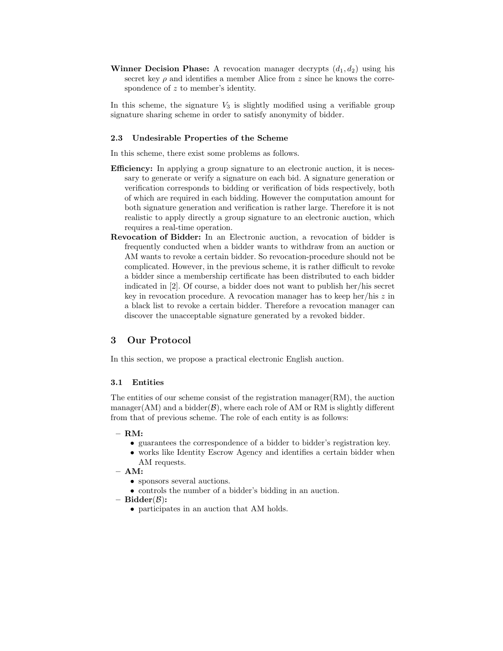**Winner Decision Phase:** A revocation manager decrypts  $(d_1, d_2)$  using his secret key  $\rho$  and identifies a member Alice from z since he knows the correspondence of z to member's identity.

In this scheme, the signature  $V_3$  is slightly modified using a verifiable group signature sharing scheme in order to satisfy anonymity of bidder.

#### **2.3 Undesirable Properties of the Scheme**

In this scheme, there exist some problems as follows.

- **Efficiency:** In applying a group signature to an electronic auction, it is necessary to generate or verify a signature on each bid. A signature generation or verification corresponds to bidding or verification of bids respectively, both of which are required in each bidding. However the computation amount for both signature generation and verification is rather large. Therefore it is not realistic to apply directly a group signature to an electronic auction, which requires a real-time operation.
- **Revocation of Bidder:** In an Electronic auction, a revocation of bidder is frequently conducted when a bidder wants to withdraw from an auction or AM wants to revoke a certain bidder. So revocation-procedure should not be complicated. However, in the previous scheme, it is rather difficult to revoke a bidder since a membership certificate has been distributed to each bidder indicated in [2]. Of course, a bidder does not want to publish her/his secret key in revocation procedure. A revocation manager has to keep her/his  $z$  in a black list to revoke a certain bidder. Therefore a revocation manager can discover the unacceptable signature generated by a revoked bidder.

# **3 Our Protocol**

In this section, we propose a practical electronic English auction.

#### **3.1 Entities**

The entities of our scheme consist of the registration manager(RM), the auction manager(AM) and a bidder( $\mathcal{B}$ ), where each role of AM or RM is slightly different from that of previous scheme. The role of each entity is as follows:

**– RM:**

- guarantees the correspondence of a bidder to bidder's registration key.
- works like Identity Escrow Agency and identifies a certain bidder when AM requests.

**– AM:**

- sponsors several auctions.
- controls the number of a bidder's bidding in an auction.
- **Bidder**(B)**:**
	- participates in an auction that AM holds.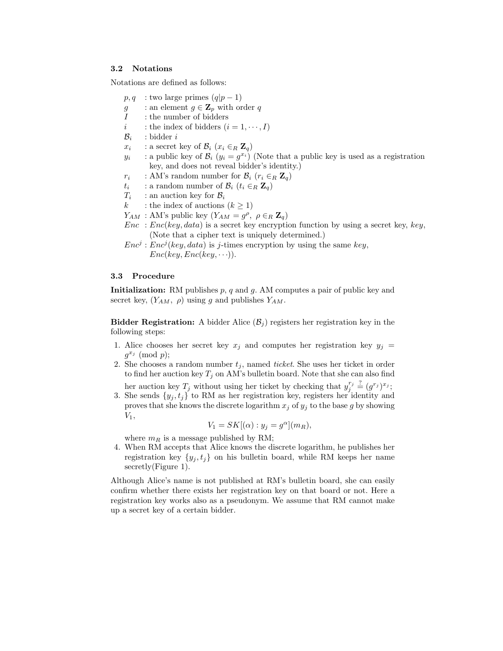#### **3.2 Notations**

Notations are defined as follows:

- $p, q$  : two large primes  $(q|p-1)$
- g : an element  $g \in \mathbf{Z}_p$  with order q
- $I$  : the number of bidders
- i : the index of bidders  $(i = 1, \dots, I)$
- $\mathcal{B}_i$  : bidder i
- $x_i$  : a secret key of  $\mathcal{B}_i$  ( $x_i \in_R \mathbb{Z}_q$ )
- $y_i$  : a public key of  $\mathcal{B}_i$   $(y_i = g^{x_i})$  (Note that a public key is used as a registration key, and does not reveal bidder's identity.)
- $r_i$  : AM's random number for  $\mathcal{B}_i$  ( $r_i \in_R \mathbb{Z}_q$ )
- $t_i$  : a random number of  $\mathcal{B}_i$  ( $t_i \in_R \mathbb{Z}_q$ )
- $T_i$  : an auction key for  $\mathcal{B}_i$
- k : the index of auctions  $(k \geq 1)$
- $Y_{AM}$ : AM's public key  $(Y_{AM} = g^{\rho}, \rho \in_R \mathbb{Z}_q)$
- $Enc(key, data)$  is a secret key encryption function by using a secret key, key, (Note that a cipher text is uniquely determined.)
- $Enc<sup>j</sup> : Enc<sup>j</sup>(key, data)$  is j-times encryption by using the same key,  $Enc(key, Enc(key, \cdots)).$

#### **3.3 Procedure**

**Initialization:** RM publishes p, q and g. AM computes a pair of public key and secret key,  $(Y_{AM}, \rho)$  using g and publishes  $Y_{AM}$ .

**Bidder Registration:** A bidder Alice  $(\mathcal{B}_i)$  registers her registration key in the following steps:

- 1. Alice chooses her secret key  $x_j$  and computes her registration key  $y_j =$  $g^{x_j}$  (mod p);
- 2. She chooses a random number  $t_j$ , named *ticket*. She uses her ticket in order to find her auction key  $T_j$  on AM's bulletin board. Note that she can also find her auction key  $T_j$  without using her ticket by checking that  $y_j^{r_j} \stackrel{?}{=} (g^{r_j})^{x_j}$ ;
- 3. She sends  $\{y_j, t_j\}$  to RM as her registration key, registers her identity and proves that she knows the discrete logarithm  $x_j$  of  $y_j$  to the base g by showing  $V_1$ ,

$$
V_1 = SK[(\alpha) : y_j = g^{\alpha}](m_R),
$$

where  $m_R$  is a message published by RM;

4. When RM accepts that Alice knows the discrete logarithm, he publishes her registration key  $\{y_i, t_i\}$  on his bulletin board, while RM keeps her name secretly(Figure 1).

Although Alice's name is not published at RM's bulletin board, she can easily confirm whether there exists her registration key on that board or not. Here a registration key works also as a pseudonym. We assume that RM cannot make up a secret key of a certain bidder.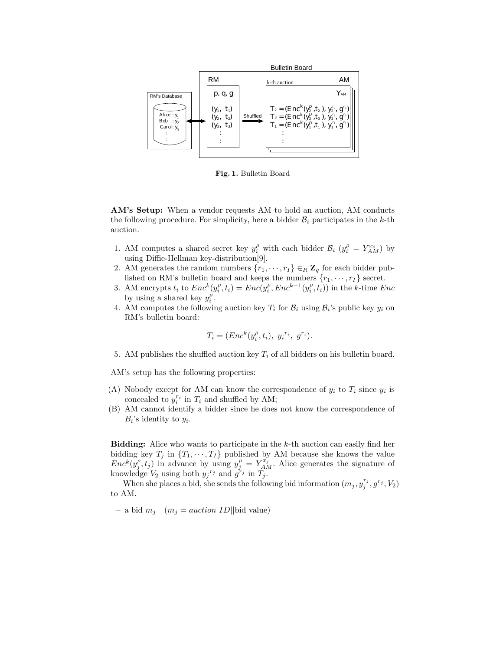

**Fig. 1.** Bulletin Board

**AM's Setup:** When a vendor requests AM to hold an auction, AM conducts the following procedure. For simplicity, here a bidder  $B_i$  participates in the k-th auction.

- 1. AM computes a shared secret key  $y_i^{\rho}$  with each bidder  $\mathcal{B}_i$   $(y_i^{\rho} = Y_{AM}^{x_i})$  by using Diffie-Hellman key-distribution[9].
- 2. AM generates the random numbers  $\{r_1, \dots, r_I\} \in_R \mathbb{Z}_q$  for each bidder published on RM's bulletin board and keeps the numbers  $\{r_1, \dots, r_I\}$  secret.
- 3. AM encrypts  $t_i$  to  $Enc^k(y_i^{\rho}, t_i) = Enc(y_i^{\rho}, Enc^{k-1}(y_i^{\rho}, t_i))$  in the k-time  $Enc$ by using a shared key  $y_i^{\rho}$ .
- 4. AM computes the following auction key  $T_i$  for  $\mathcal{B}_i$  using  $\mathcal{B}_i$ 's public key  $y_i$  on RM's bulletin board:

$$
T_i = (Enc^k(y_i^{\rho}, t_i), y_i^{r_i}, g^{r_i}).
$$

5. AM publishes the shuffled auction key  $T_i$  of all bidders on his bulletin board.

AM's setup has the following properties:

- (A) Nobody except for AM can know the correspondence of  $y_i$  to  $T_i$  since  $y_i$  is concealed to  $y_i^{r_i}$  in  $T_i$  and shuffled by AM;
- (B) AM cannot identify a bidder since he does not know the correspondence of  $B_i$ 's identity to  $y_i$ .

**Bidding:** Alice who wants to participate in the k-th auction can easily find her bidding key  $T_j$  in  $\{T_1, \dots, T_I\}$  published by AM because she knows the value Enc<sup>k</sup> $(y_i^{\rho}, t_j)$  in advance by using  $y_i^{\rho} = Y_{AM}^{x_j}$ . Alice generates the signature of knowledge  $V_2$  using both  $y_j^{r_j}$  and  $g^{r_j}$  in  $T_j$ .

When she places a bid, she sends the following bid information  $(m_j, y_j^{r_j}, g^{r_j}, V_2)$ to AM.

 $-$  a bid  $m_j$  ( $m_j$  = *auction ID*||bid value)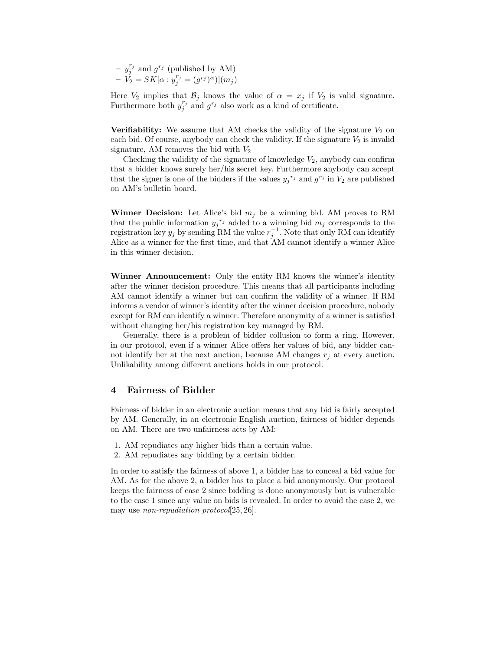$- y_i^{r_j}$  and  $g^{r_j}$  (published by AM)  $-V_2 = SK[\alpha : y_j^{r_j} = (g^{r_j})^{\alpha})](m_j)$ 

Here  $V_2$  implies that  $\mathcal{B}_j$  knows the value of  $\alpha = x_j$  if  $V_2$  is valid signature. Furthermore both  $y_j^{r_j}$  and  $g^{r_j}$  also work as a kind of certificate.

**Verifiability:** We assume that AM checks the validity of the signature  $V_2$  on each bid. Of course, anybody can check the validity. If the signature  $V_2$  is invalid signature, AM removes the bid with  $V_2$ 

Checking the validity of the signature of knowledge  $V_2$ , anybody can confirm that a bidder knows surely her/his secret key. Furthermore anybody can accept that the signer is one of the bidders if the values  $y_j^{r_j}$  and  $g^{r_j}$  in  $V_2$  are published on AM's bulletin board.

**Winner Decision:** Let Alice's bid  $m_i$  be a winning bid. AM proves to RM that the public information  $y_j^{r_j}$  added to a winning bid  $m_j$  corresponds to the registration key  $y_j$  by sending RM the value  $r_j^{-1}$ . Note that only RM can identify Alice as a winner for the first time, and that AM cannot identify a winner Alice in this winner decision.

**Winner Announcement:** Only the entity RM knows the winner's identity after the winner decision procedure. This means that all participants including AM cannot identify a winner but can confirm the validity of a winner. If RM informs a vendor of winner's identity after the winner decision procedure, nobody except for RM can identify a winner. Therefore anonymity of a winner is satisfied without changing her/his registration key managed by RM.

Generally, there is a problem of bidder collusion to form a ring. However, in our protocol, even if a winner Alice offers her values of bid, any bidder cannot identify her at the next auction, because AM changes  $r_i$  at every auction. Unlikability among different auctions holds in our protocol.

# **4 Fairness of Bidder**

Fairness of bidder in an electronic auction means that any bid is fairly accepted by AM. Generally, in an electronic English auction, fairness of bidder depends on AM. There are two unfairness acts by AM:

- 1. AM repudiates any higher bids than a certain value.
- 2. AM repudiates any bidding by a certain bidder.

In order to satisfy the fairness of above 1, a bidder has to conceal a bid value for AM. As for the above 2, a bidder has to place a bid anonymously. Our protocol keeps the fairness of case 2 since bidding is done anonymously but is vulnerable to the case 1 since any value on bids is revealed. In order to avoid the case 2, we may use *non-repudiation protocol*[25, 26].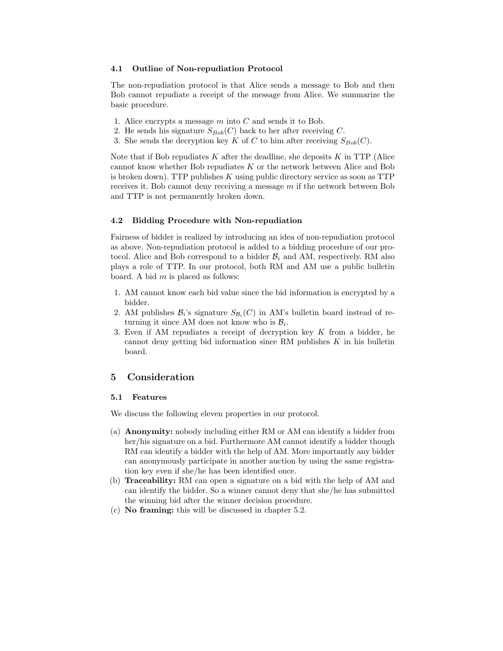#### **4.1 Outline of Non-repudiation Protocol**

The non-repudiation protocol is that Alice sends a message to Bob and then Bob cannot repudiate a receipt of the message from Alice. We summarize the basic procedure.

- 1. Alice encrypts a message  $m$  into  $C$  and sends it to Bob.
- 2. He sends his signature  $S_{Bob}(C)$  back to her after receiving C.
- 3. She sends the decryption key K of C to him after receiving  $S_{Bob}(C)$ .

Note that if Bob repudiates  $K$  after the deadline, she deposits  $K$  in TTP (Alice cannot know whether Bob repudiates  $K$  or the network between Alice and Bob is broken down). TTP publishes  $K$  using public directory service as soon as TTP receives it. Bob cannot deny receiving a message  $m$  if the network between Bob and TTP is not permanently broken down.

#### **4.2 Bidding Procedure with Non-repudiation**

Fairness of bidder is realized by introducing an idea of non-repudiation protocol as above. Non-repudiation protocol is added to a bidding procedure of our protocol. Alice and Bob correspond to a bidder  $B_i$  and AM, respectively. RM also plays a role of TTP. In our protocol, both RM and AM use a public bulletin board. A bid  $m$  is placed as follows:

- 1. AM cannot know each bid value since the bid information is encrypted by a bidder.
- 2. AM publishes  $\mathcal{B}_i$ 's signature  $S_{\mathcal{B}_i}(C)$  in AM's bulletin board instead of returning it since AM does not know who is  $\mathcal{B}_i$ .
- 3. Even if AM repudiates a receipt of decryption key  $K$  from a bidder, he cannot deny getting bid information since RM publishes  $K$  in his bulletin board.

# **5 Consideration**

#### **5.1 Features**

We discuss the following eleven properties in our protocol.

- (a) **Anonymity:** nobody including either RM or AM can identify a bidder from her/his signature on a bid. Furthermore AM cannot identify a bidder though RM can identify a bidder with the help of AM. More importantly any bidder can anonymously participate in another auction by using the same registration key even if she/he has been identified once.
- (b) **Traceability:** RM can open a signature on a bid with the help of AM and can identify the bidder. So a winner cannot deny that she/he has submitted the winning bid after the winner decision procedure.
- (c) **No framing:** this will be discussed in chapter 5.2.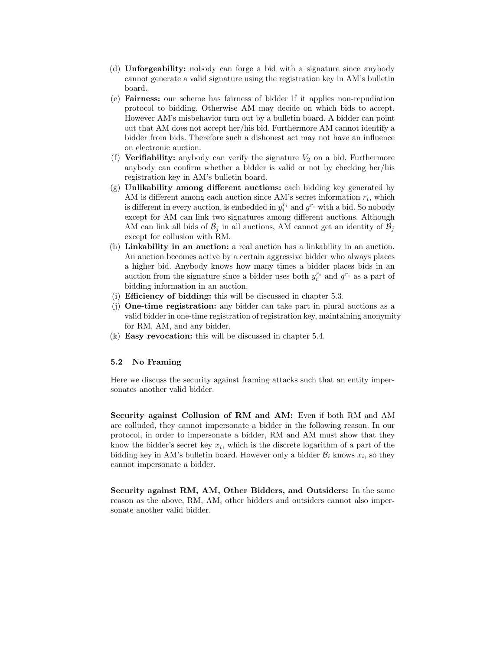- (d) **Unforgeability:** nobody can forge a bid with a signature since anybody cannot generate a valid signature using the registration key in AM's bulletin board.
- (e) **Fairness:** our scheme has fairness of bidder if it applies non-repudiation protocol to bidding. Otherwise AM may decide on which bids to accept. However AM's misbehavior turn out by a bulletin board. A bidder can point out that AM does not accept her/his bid. Furthermore AM cannot identify a bidder from bids. Therefore such a dishonest act may not have an influence on electronic auction.
- (f) **Verifiability:** anybody can verify the signature  $V_2$  on a bid. Furthermore anybody can confirm whether a bidder is valid or not by checking her/his registration key in AM's bulletin board.
- (g) **Unlikability among different auctions:** each bidding key generated by AM is different among each auction since AM's secret information  $r_i$ , which is different in every auction, is embedded in  $y_i^{r_i}$  and  $g^{r_i}$  with a bid. So nobody except for AM can link two signatures among different auctions. Although AM can link all bids of  $\mathcal{B}_i$  in all auctions, AM cannot get an identity of  $\mathcal{B}_i$ except for collusion with RM.
- (h) **Linkability in an auction:** a real auction has a linkability in an auction. An auction becomes active by a certain aggressive bidder who always places a higher bid. Anybody knows how many times a bidder places bids in an auction from the signature since a bidder uses both  $y_i^{r_i}$  and  $g^{r_i}$  as a part of bidding information in an auction.
- (i) **Efficiency of bidding:** this will be discussed in chapter 5.3.
- (j) **One-time registration:** any bidder can take part in plural auctions as a valid bidder in one-time registration of registration key, maintaining anonymity for RM, AM, and any bidder.
- (k) **Easy revocation:** this will be discussed in chapter 5.4.

#### **5.2 No Framing**

Here we discuss the security against framing attacks such that an entity impersonates another valid bidder.

**Security against Collusion of RM and AM:** Even if both RM and AM are colluded, they cannot impersonate a bidder in the following reason. In our protocol, in order to impersonate a bidder, RM and AM must show that they know the bidder's secret key  $x_i$ , which is the discrete logarithm of a part of the bidding key in AM's bulletin board. However only a bidder  $\mathcal{B}_i$  knows  $x_i$ , so they cannot impersonate a bidder.

**Security against RM, AM, Other Bidders, and Outsiders:** In the same reason as the above, RM, AM, other bidders and outsiders cannot also impersonate another valid bidder.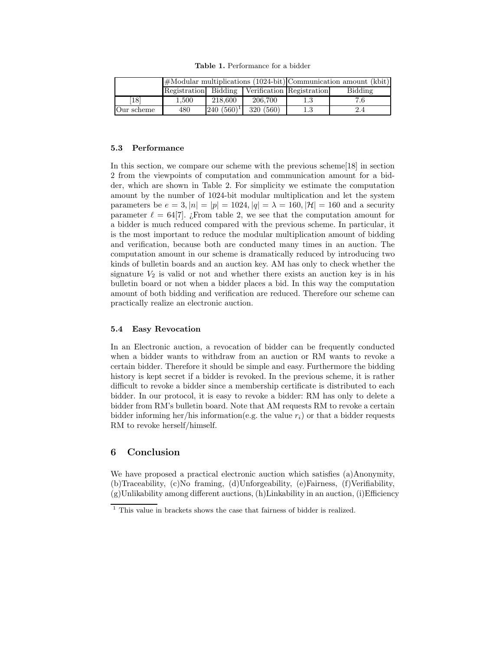|  | <b>Table 1.</b> Performance for a bidder |  |  |
|--|------------------------------------------|--|--|
|  |                                          |  |  |

|                   |       |              |                                                | $\#$ Modular multiplications (1024-bit) Communication amount (kbit) |         |  |
|-------------------|-------|--------------|------------------------------------------------|---------------------------------------------------------------------|---------|--|
|                   |       |              | Registration Bidding Verification Registration |                                                                     | Bidding |  |
| $\left[18\right]$ | 1.500 | 218.600      | 206.700                                        | $1.3\,$                                                             |         |  |
| Our scheme        | 480   | $240(560)^1$ | 320 (560)                                      | $1.3\,$                                                             | 2.4     |  |

#### **5.3 Performance**

In this section, we compare our scheme with the previous scheme[18] in section 2 from the viewpoints of computation and communication amount for a bidder, which are shown in Table 2. For simplicity we estimate the computation amount by the number of 1024-bit modular multiplication and let the system parameters be  $e = 3, |n| = |p| = 1024, |q| = \lambda = 160, |\mathcal{H}| = 160$  and a security parameter  $\ell = 64[7]$ . ¿From table 2, we see that the computation amount for a bidder is much reduced compared with the previous scheme. In particular, it is the most important to reduce the modular multiplication amount of bidding and verification, because both are conducted many times in an auction. The computation amount in our scheme is dramatically reduced by introducing two kinds of bulletin boards and an auction key. AM has only to check whether the signature  $V_2$  is valid or not and whether there exists an auction key is in his bulletin board or not when a bidder places a bid. In this way the computation amount of both bidding and verification are reduced. Therefore our scheme can practically realize an electronic auction.

#### **5.4 Easy Revocation**

In an Electronic auction, a revocation of bidder can be frequently conducted when a bidder wants to withdraw from an auction or RM wants to revoke a certain bidder. Therefore it should be simple and easy. Furthermore the bidding history is kept secret if a bidder is revoked. In the previous scheme, it is rather difficult to revoke a bidder since a membership certificate is distributed to each bidder. In our protocol, it is easy to revoke a bidder: RM has only to delete a bidder from RM's bulletin board. Note that AM requests RM to revoke a certain bidder informing her/his information(e.g. the value  $r_i$ ) or that a bidder requests RM to revoke herself/himself.

# **6 Conclusion**

We have proposed a practical electronic auction which satisfies (a)Anonymity, (b)Traceability, (c)No framing, (d)Unforgeability, (e)Fairness, (f)Verifiability,  $(g)$ Unlikability among different auctions, (h)Linkability in an auction, (i) Efficiency

<sup>&</sup>lt;sup>1</sup> This value in brackets shows the case that fairness of bidder is realized.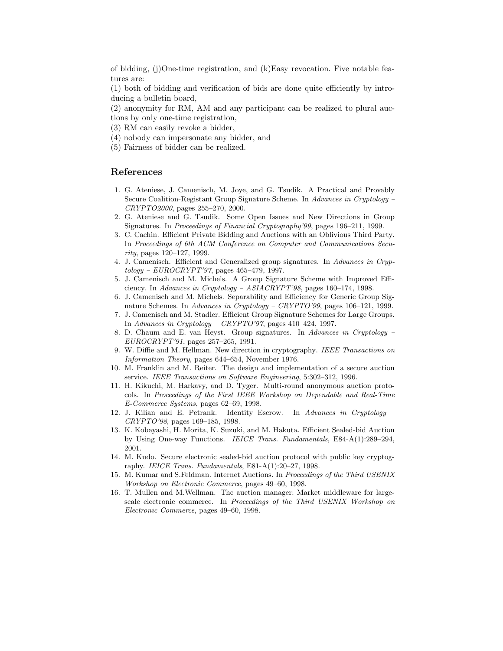of bidding, (j)One-time registration, and  $(k)$ Easy revocation. Five notable features are:

(1) both of bidding and verification of bids are done quite efficiently by introducing a bulletin board,

(2) anonymity for RM, AM and any participant can be realized to plural auctions by only one-time registration,

- (3) RM can easily revoke a bidder,
- (4) nobody can impersonate any bidder, and
- (5) Fairness of bidder can be realized.

# **References**

- 1. G. Ateniese, J. Camenisch, M. Joye, and G. Tsudik. A Practical and Provably Secure Coalition-Registant Group Signature Scheme. In *Advances in Cryptology – CRYPTO2000*, pages 255–270, 2000.
- 2. G. Ateniese and G. Tsudik. Some Open Issues and New Directions in Group Signatures. In *Proceedings of Financial Cryptography'99*, pages 196–211, 1999.
- 3. C. Cachin. Efficient Private Bidding and Auctions with an Oblivious Third Party. In *Proceedings of 6th ACM Conference on Computer and Communications Security*, pages 120–127, 1999.
- 4. J. Camenisch. Efficient and Generalized group signatures. In *Advances in Cryptology – EUROCRYPT'97*, pages 465–479, 1997.
- 5. J. Camenisch and M. Michels. A Group Signature Scheme with Improved Efficiency. In *Advances in Cryptology – ASIACRYPT'98*, pages 160–174, 1998.
- 6. J. Camenisch and M. Michels. Separability and Efficiency for Generic Group Signature Schemes. In *Advances in Cryptology – CRYPTO'99*, pages 106–121, 1999.
- 7. J. Camenisch and M. Stadler. Efficient Group Signature Schemes for Large Groups. In *Advances in Cryptology – CRYPTO'97*, pages 410–424, 1997.
- 8. D. Chaum and E. van Heyst. Group signatures. In *Advances in Cryptology – EUROCRYPT'91*, pages 257–265, 1991.
- 9. W. Diffie and M. Hellman. New direction in cryptography. *IEEE Transactions on Information Theory*, pages 644–654, November 1976.
- 10. M. Franklin and M. Reiter. The design and implementation of a secure auction service. *IEEE Transactions on Software Engineering*, 5:302–312, 1996.
- 11. H. Kikuchi, M. Harkavy, and D. Tyger. Multi-round anonymous auction protocols. In *Proceedings of the First IEEE Workshop on Dependable and Real-Time E-Commerce Systems*, pages 62–69, 1998.
- 12. J. Kilian and E. Petrank. Identity Escrow. In *Advances in Cryptology – CRYPTO'98*, pages 169–185, 1998.
- 13. K. Kobayashi, H. Morita, K. Suzuki, and M. Hakuta. Efficient Sealed-bid Auction by Using One-way Functions. *IEICE Trans. Fundamentals*, E84-A(1):289–294, 2001.
- 14. M. Kudo. Secure electronic sealed-bid auction protocol with public key cryptography. *IEICE Trans. Fundamentals*, E81-A(1):20–27, 1998.
- 15. M. Kumar and S.Feldman. Internet Auctions. In *Proceedings of the Third USENIX Workshop on Electronic Commerce*, pages 49–60, 1998.
- 16. T. Mullen and M.Wellman. The auction manager: Market middleware for largescale electronic commerce. In *Proceedings of the Third USENIX Workshop on Electronic Commerce*, pages 49–60, 1998.